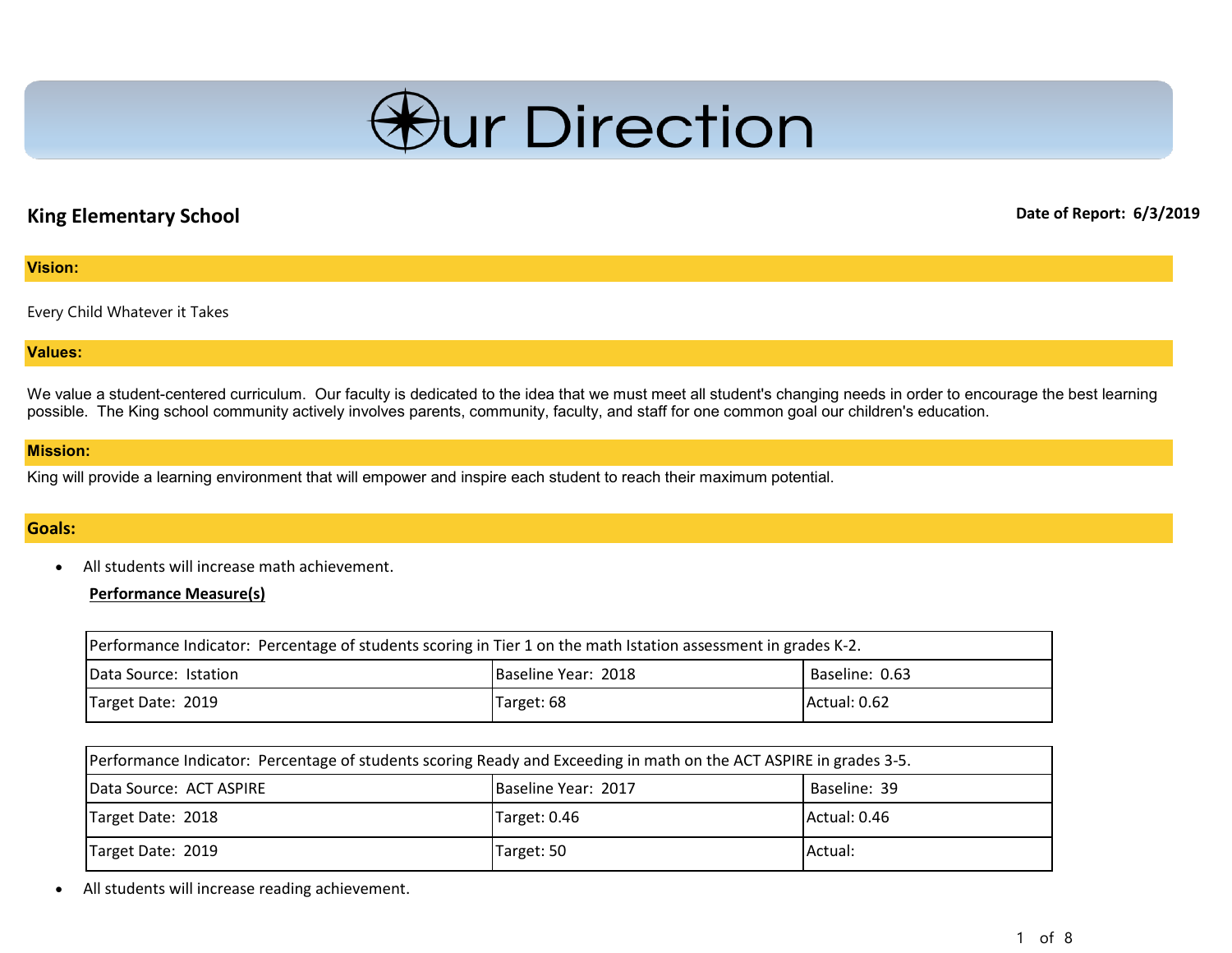

# **King Elementary School Date of Report: 6/3/2019**

#### **Vision:**

Every Child Whatever it Takes

#### **Values:**

We value a student-centered curriculum. Our faculty is dedicated to the idea that we must meet all student's changing needs in order to encourage the best learning possible. The King school community actively involves parents, community, faculty, and staff for one common goal our children's education.

#### **Mission:**

King will provide a learning environment that will empower and inspire each student to reach their maximum potential.

# **Goals:**

• All students will increase math achievement.

**Performance Measure(s)**

| Performance Indicator: Percentage of students scoring in Tier 1 on the math Istation assessment in grades K-2. |                     |                |
|----------------------------------------------------------------------------------------------------------------|---------------------|----------------|
| Data Source: Istation                                                                                          | Baseline Year: 2018 | Baseline: 0.63 |
| Target Date: 2019                                                                                              | Target: 68          | Actual: 0.62   |

| Performance Indicator: Percentage of students scoring Ready and Exceeding in math on the ACT ASPIRE in grades 3-5. |                     |              |
|--------------------------------------------------------------------------------------------------------------------|---------------------|--------------|
| Data Source: ACT ASPIRE                                                                                            | Baseline Year: 2017 | Baseline: 39 |
| Target Date: 2018                                                                                                  | Target: 0.46        | Actual: 0.46 |
| Target Date: 2019                                                                                                  | Target: 50          | IActual:     |

• All students will increase reading achievement.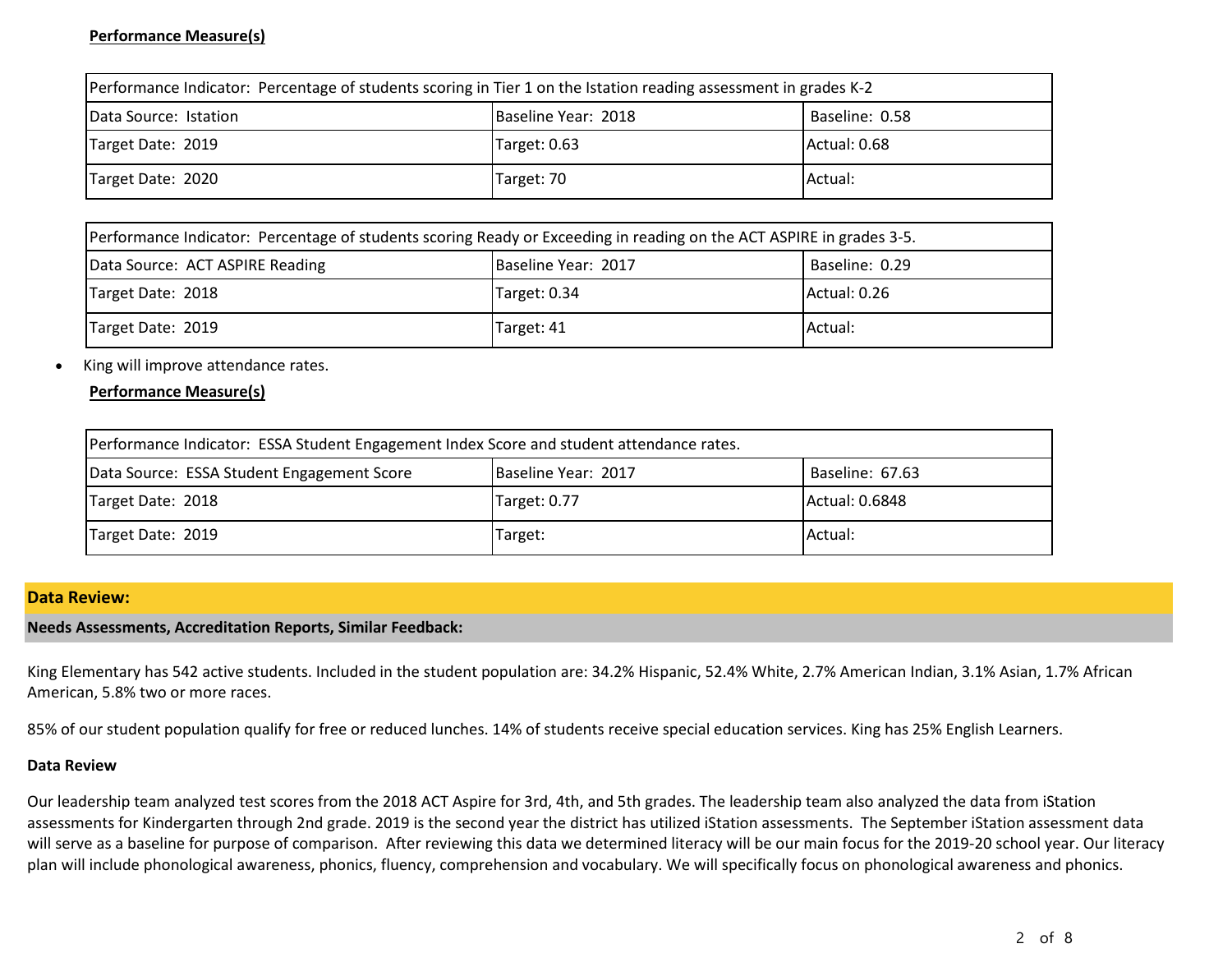# **Performance Measure(s)**

| Performance Indicator: Percentage of students scoring in Tier 1 on the Istation reading assessment in grades K-2 |                     |                |
|------------------------------------------------------------------------------------------------------------------|---------------------|----------------|
| Data Source: Istation                                                                                            | Baseline Year: 2018 | Baseline: 0.58 |
| Target Date: 2019                                                                                                | Target: 0.63        | Actual: 0.68   |
| Target Date: 2020                                                                                                | Target: 70          | Actual:        |

| Performance Indicator: Percentage of students scoring Ready or Exceeding in reading on the ACT ASPIRE in grades 3-5. |                     |                |
|----------------------------------------------------------------------------------------------------------------------|---------------------|----------------|
| Data Source: ACT ASPIRE Reading                                                                                      | Baseline Year: 2017 | Baseline: 0.29 |
| Target Date: 2018                                                                                                    | Target: 0.34        | Actual: 0.26   |
| Target Date: 2019                                                                                                    | Target: 41          | Actual:        |

#### • King will improve attendance rates.

### **Performance Measure(s)**

| Performance Indicator: ESSA Student Engagement Index Score and student attendance rates. |                     |                 |
|------------------------------------------------------------------------------------------|---------------------|-----------------|
| Data Source: ESSA Student Engagement Score                                               | Baseline Year: 2017 | Baseline: 67.63 |
| Target Date: 2018                                                                        | Target: 0.77        | Actual: 0.6848  |
| Target Date: 2019                                                                        | Target:             | Actual:         |

#### **Data Review:**

#### **Needs Assessments, Accreditation Reports, Similar Feedback:**

King Elementary has 542 active students. Included in the student population are: 34.2% Hispanic, 52.4% White, 2.7% American Indian, 3.1% Asian, 1.7% African American, 5.8% two or more races.

85% of our student population qualify for free or reduced lunches. 14% of students receive special education services. King has 25% English Learners.

#### **Data Review**

Our leadership team analyzed test scores from the 2018 ACT Aspire for 3rd, 4th, and 5th grades. The leadership team also analyzed the data from iStation assessments for Kindergarten through 2nd grade. 2019 is the second year the district has utilized iStation assessments. The September iStation assessment data will serve as a baseline for purpose of comparison. After reviewing this data we determined literacy will be our main focus for the 2019-20 school year. Our literacy plan will include phonological awareness, phonics, fluency, comprehension and vocabulary. We will specifically focus on phonological awareness and phonics.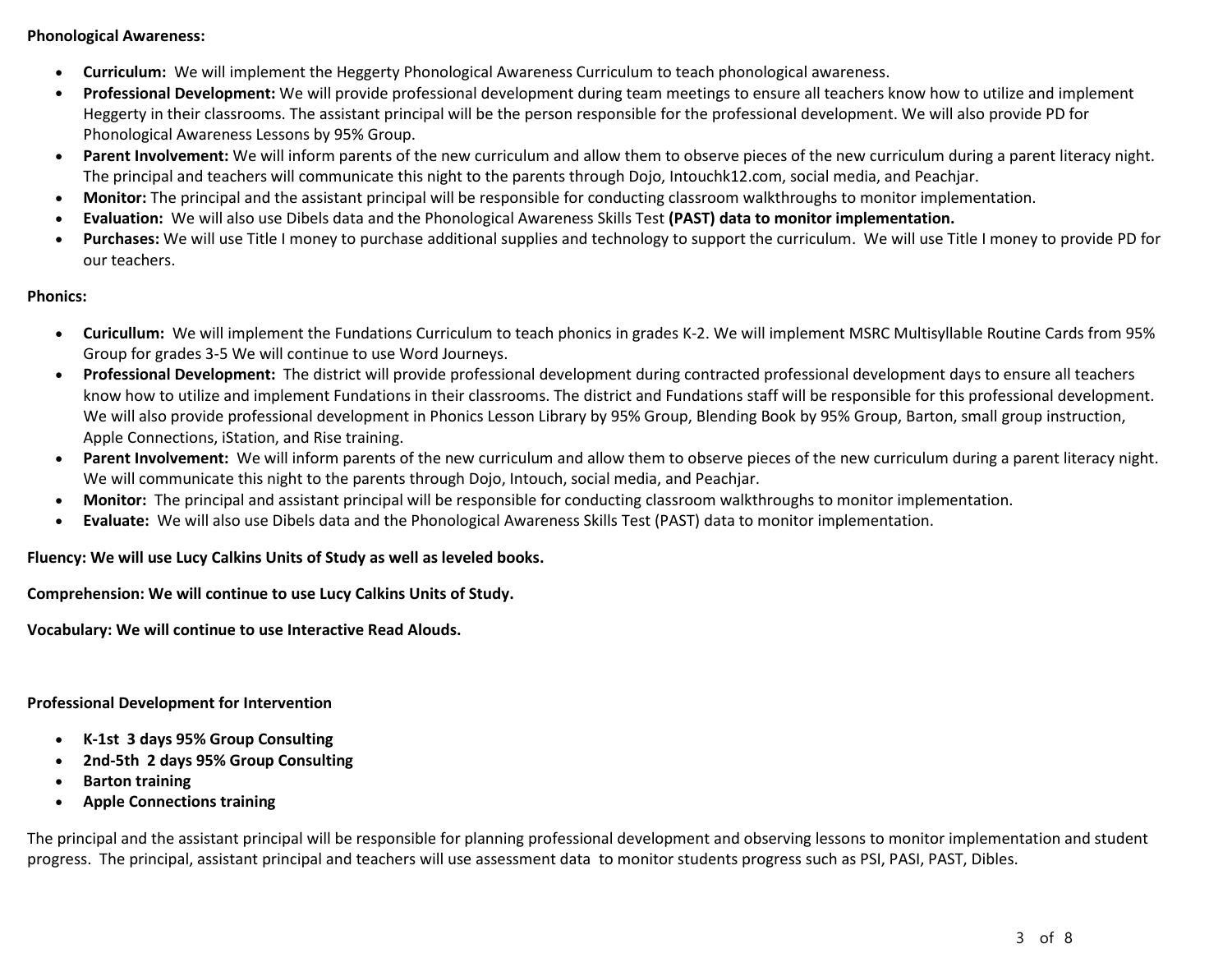### **Phonological Awareness:**

- **Curriculum:** We will implement the Heggerty Phonological Awareness Curriculum to teach phonological awareness.
- **Professional Development:** We will provide professional development during team meetings to ensure all teachers know how to utilize and implement Heggerty in their classrooms. The assistant principal will be the person responsible for the professional development. We will also provide PD for Phonological Awareness Lessons by 95% Group.
- Parent Involvement: We will inform parents of the new curriculum and allow them to observe pieces of the new curriculum during a parent literacy night. The principal and teachers will communicate this night to the parents through Dojo, Intouchk12.com, social media, and Peachjar.
- **Monitor:** The principal and the assistant principal will be responsible for conducting classroom walkthroughs to monitor implementation.
- **Evaluation:** We will also use Dibels data and the Phonological Awareness Skills Test **(PAST) data to monitor implementation.**
- **Purchases:** We will use Title I money to purchase additional supplies and technology to support the curriculum. We will use Title I money to provide PD for our teachers.

### **Phonics:**

- **Curicullum:** We will implement the Fundations Curriculum to teach phonics in grades K-2. We will implement MSRC Multisyllable Routine Cards from 95% Group for grades 3-5 We will continue to use Word Journeys.
- **Professional Development:** The district will provide professional development during contracted professional development days to ensure all teachers know how to utilize and implement Fundations in their classrooms. The district and Fundations staff will be responsible for this professional development. We will also provide professional development in Phonics Lesson Library by 95% Group, Blending Book by 95% Group, Barton, small group instruction, Apple Connections, iStation, and Rise training.
- Parent Involvement: We will inform parents of the new curriculum and allow them to observe pieces of the new curriculum during a parent literacy night. We will communicate this night to the parents through Dojo, Intouch, social media, and Peachjar.
- **Monitor:** The principal and assistant principal will be responsible for conducting classroom walkthroughs to monitor implementation.
- **Evaluate:** We will also use Dibels data and the Phonological Awareness Skills Test (PAST) data to monitor implementation.

# **Fluency: We will use Lucy Calkins Units of Study as well as leveled books.**

**Comprehension: We will continue to use Lucy Calkins Units of Study.**

**Vocabulary: We will continue to use Interactive Read Alouds.**

# **Professional Development for Intervention**

- **K-1st 3 days 95% Group Consulting**
- **2nd-5th 2 days 95% Group Consulting**
- **Barton training**
- **Apple Connections training**

The principal and the assistant principal will be responsible for planning professional development and observing lessons to monitor implementation and student progress. The principal, assistant principal and teachers will use assessment data to monitor students progress such as PSI, PASI, PAST, Dibles.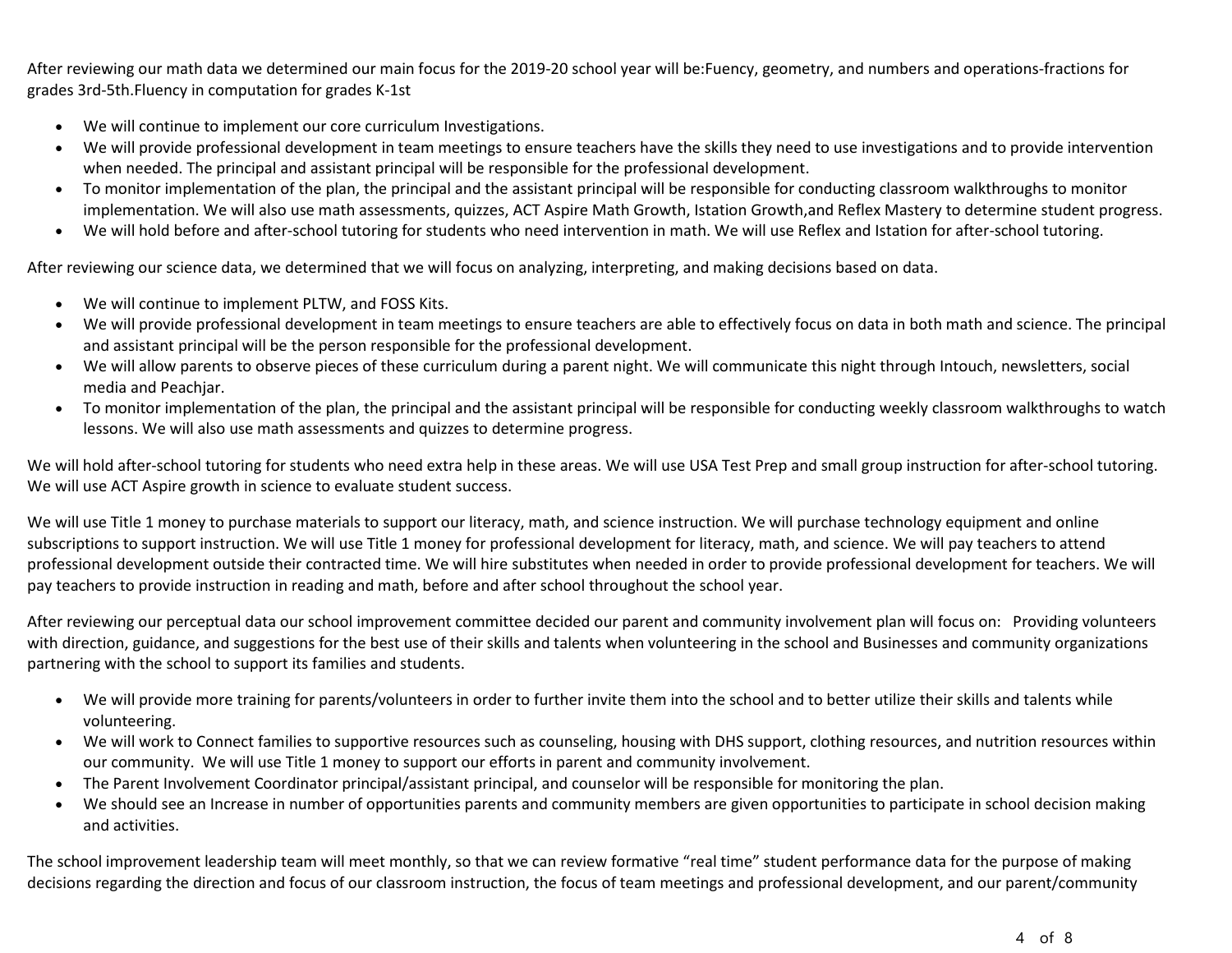After reviewing our math data we determined our main focus for the 2019-20 school year will be:Fuency, geometry, and numbers and operations-fractions for grades 3rd-5th.Fluency in computation for grades K-1st

- We will continue to implement our core curriculum Investigations.
- We will provide professional development in team meetings to ensure teachers have the skills they need to use investigations and to provide intervention when needed. The principal and assistant principal will be responsible for the professional development.
- To monitor implementation of the plan, the principal and the assistant principal will be responsible for conducting classroom walkthroughs to monitor implementation. We will also use math assessments, quizzes, ACT Aspire Math Growth, Istation Growth,and Reflex Mastery to determine student progress.
- We will hold before and after-school tutoring for students who need intervention in math. We will use Reflex and Istation for after-school tutoring.

After reviewing our science data, we determined that we will focus on analyzing, interpreting, and making decisions based on data.

- We will continue to implement PLTW, and FOSS Kits.
- We will provide professional development in team meetings to ensure teachers are able to effectively focus on data in both math and science. The principal and assistant principal will be the person responsible for the professional development.
- We will allow parents to observe pieces of these curriculum during a parent night. We will communicate this night through Intouch, newsletters, social media and Peachjar.
- To monitor implementation of the plan, the principal and the assistant principal will be responsible for conducting weekly classroom walkthroughs to watch lessons. We will also use math assessments and quizzes to determine progress.

We will hold after-school tutoring for students who need extra help in these areas. We will use USA Test Prep and small group instruction for after-school tutoring. We will use ACT Aspire growth in science to evaluate student success.

We will use Title 1 money to purchase materials to support our literacy, math, and science instruction. We will purchase technology equipment and online subscriptions to support instruction. We will use Title 1 money for professional development for literacy, math, and science. We will pay teachers to attend professional development outside their contracted time. We will hire substitutes when needed in order to provide professional development for teachers. We will pay teachers to provide instruction in reading and math, before and after school throughout the school year.

After reviewing our perceptual data our school improvement committee decided our parent and community involvement plan will focus on: Providing volunteers with direction, guidance, and suggestions for the best use of their skills and talents when volunteering in the school and Businesses and community organizations partnering with the school to support its families and students.

- We will provide more training for parents/volunteers in order to further invite them into the school and to better utilize their skills and talents while volunteering.
- We will work to Connect families to supportive resources such as counseling, housing with DHS support, clothing resources, and nutrition resources within our community. We will use Title 1 money to support our efforts in parent and community involvement.
- The Parent Involvement Coordinator principal/assistant principal, and counselor will be responsible for monitoring the plan.
- We should see an Increase in number of opportunities parents and community members are given opportunities to participate in school decision making and activities.

The school improvement leadership team will meet monthly, so that we can review formative "real time" student performance data for the purpose of making decisions regarding the direction and focus of our classroom instruction, the focus of team meetings and professional development, and our parent/community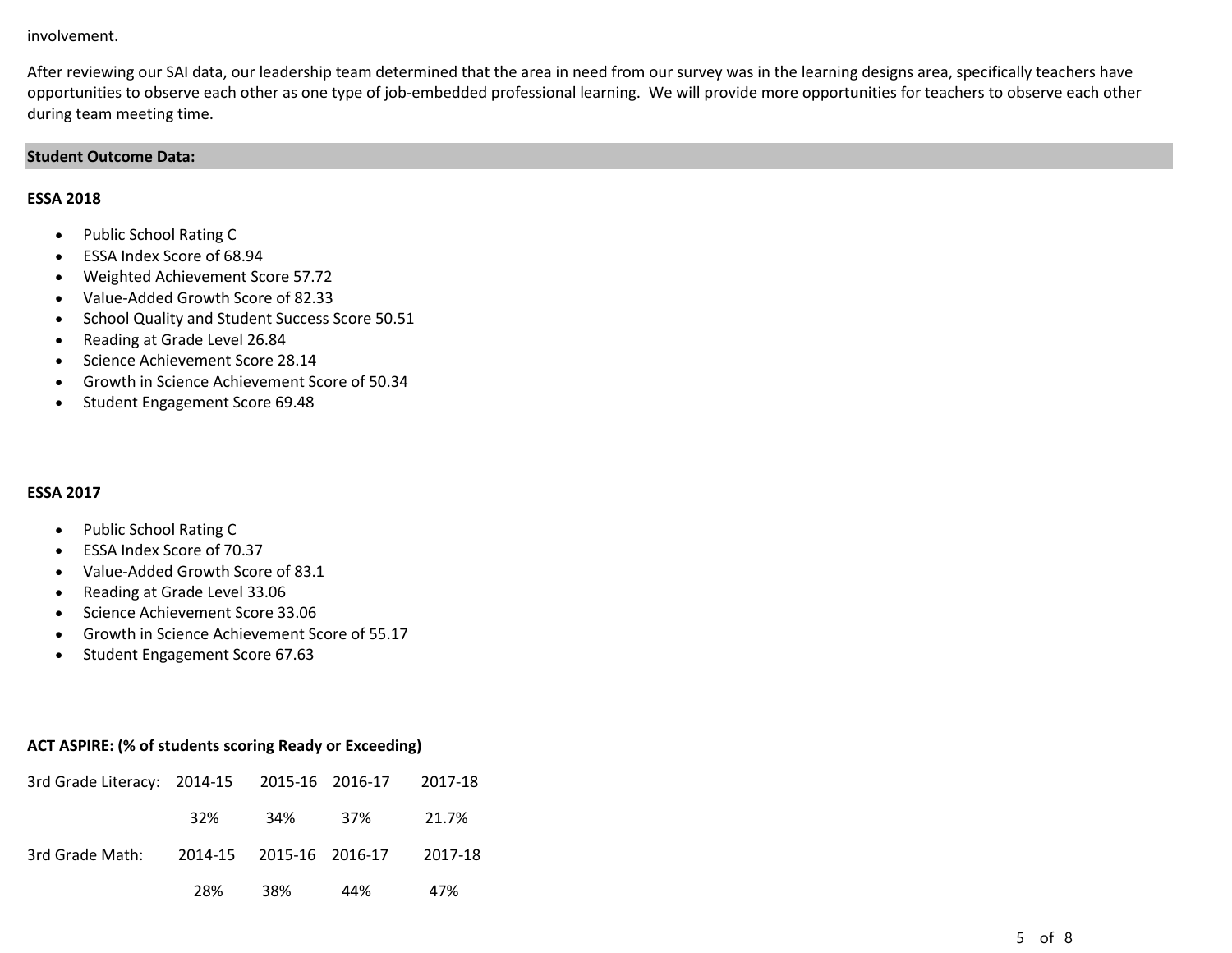#### involvement.

After reviewing our SAI data, our leadership team determined that the area in need from our survey was in the learning designs area, specifically teachers have opportunities to observe each other as one type of job-embedded professional learning. We will provide more opportunities for teachers to observe each other during team meeting time.

#### **Student Outcome Data:**

### **ESSA 2018**

- Public School Rating C
- ESSA Index Score of 68.94
- Weighted Achievement Score 57.72
- Value-Added Growth Score of 82.33
- School Quality and Student Success Score 50.51
- Reading at Grade Level 26.84
- Science Achievement Score 28.14
- Growth in Science Achievement Score of 50.34
- Student Engagement Score 69.48

# **ESSA 2017**

- Public School Rating C
- ESSA Index Score of 70.37
- Value-Added Growth Score of 83.1
- Reading at Grade Level 33.06
- Science Achievement Score 33.06
- Growth in Science Achievement Score of 55.17
- Student Engagement Score 67.63

# **ACT ASPIRE: (% of students scoring Ready or Exceeding)**

| 3rd Grade Literacy: 2014-15 2015-16 2016-17 2017-18 |  |                       |     |
|-----------------------------------------------------|--|-----------------------|-----|
|                                                     |  | 32\% 34\% 37\% 21.7\% |     |
| 3rd Grade Math: 2014-15 2015-16 2016-17 2017-18     |  |                       |     |
|                                                     |  | 28%  38%  44%         | 47% |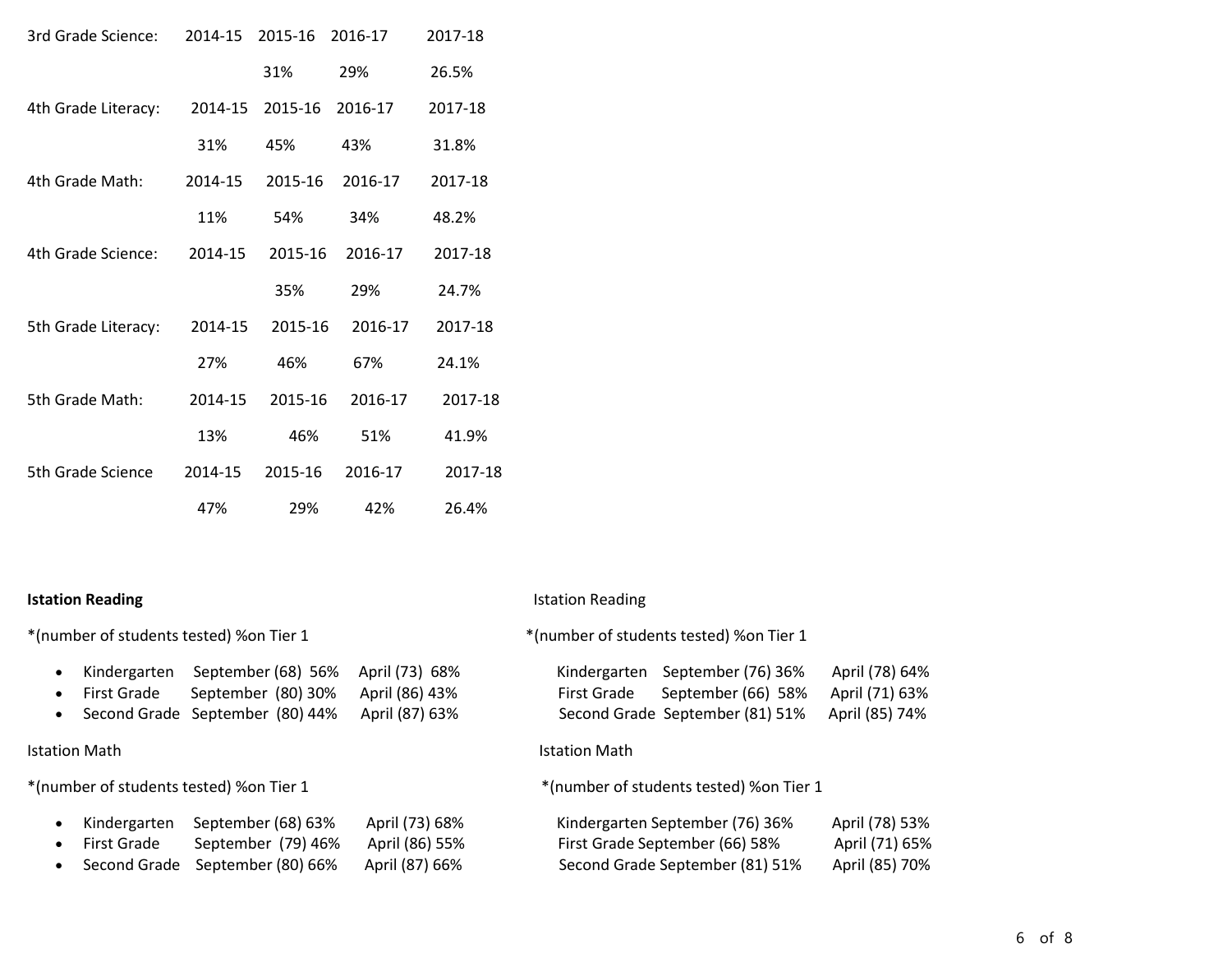| 3rd Grade Science:  | 2014-15 | 2015-16 | 2016-17 | 2017-18 |
|---------------------|---------|---------|---------|---------|
|                     |         | 31%     | 29%     | 26.5%   |
| 4th Grade Literacy: | 2014-15 | 2015-16 | 2016-17 | 2017-18 |
|                     | 31%     | 45%     | 43%     | 31.8%   |
| 4th Grade Math:     | 2014-15 | 2015-16 | 2016-17 | 2017-18 |
|                     | 11%     | 54%     | 34%     | 48.2%   |
| 4th Grade Science:  | 2014-15 | 2015-16 | 2016-17 | 2017-18 |
|                     |         | 35%     | 29%     | 24.7%   |
| 5th Grade Literacy: | 2014-15 | 2015-16 | 2016-17 | 2017-18 |
|                     | 27%     | 46%     | 67%     | 24.1%   |
| 5th Grade Math:     | 2014-15 | 2015-16 | 2016-17 | 2017-18 |
|                     | 13%     | 46%     | 51%     | 41.9%   |
| 5th Grade Science   | 2014-15 | 2015-16 | 2016-17 | 2017-18 |
|                     | 47%     | 29%     | 42%     | 26.4%   |

• Kindergarten September (68) 56% April (73) 68% • First Grade September (80) 30% April (86) 43% • Second Grade September (80) 44% April (87) 63%

• Kindergarten September (68) 63% April (73) 68% • First Grade September (79) 46% April (86) 55% • Second Grade September (80) 66% April (87) 66%

#### **Istation Reading Istation Reading Istation Reading**

\*(number of students tested) %on Tier 1 \*(number of students tested) %on Tier 1

| Kindergarten | September (76) 36%              | April (78) 64% |
|--------------|---------------------------------|----------------|
| First Grade  | September (66) 58%              | April (71) 63% |
|              | Second Grade September (81) 51% | April (85) 74% |

# Istation Math Istation Math

\*(number of students tested) %on Tier 1 \*(number of students tested) %on Tier 1

| Kindergarten September (76) 36% | April (78) 53% |
|---------------------------------|----------------|
| First Grade September (66) 58%  | April (71) 65% |
| Second Grade September (81) 51% | April (85) 70% |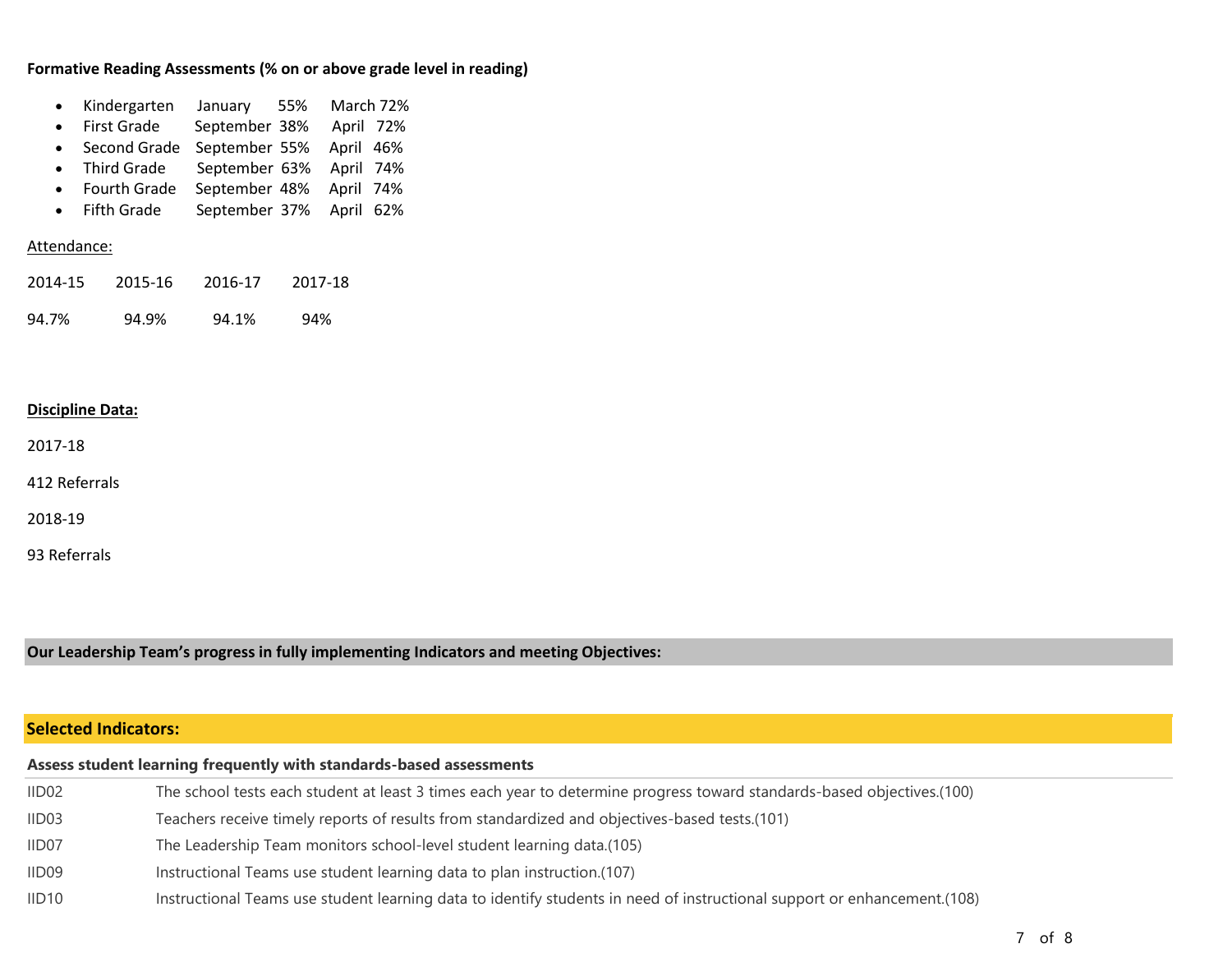### **Formative Reading Assessments (% on or above grade level in reading)**

| Kindergarten January |  | 55% March 72% |
|----------------------|--|---------------|
|                      |  |               |

- First Grade September 38% April 72%
- Second Grade September 55% April 46%
- Third Grade September 63% April 74%
- Fourth Grade September 48% April 74%
- Fifth Grade September 37% April 62%

#### Attendance:

2014-15 2015-16 2016-17 2017-18 94.7% 94.9% 94.1% 94%

#### **Discipline Data:**

2017-18

412 Referrals

2018-19

93 Referrals

**Our Leadership Team's progress in fully implementing Indicators and meeting Objectives:**

# **Selected Indicators:**

| Assess student learning frequently with standards-based assessments |                                                                                                                          |  |
|---------------------------------------------------------------------|--------------------------------------------------------------------------------------------------------------------------|--|
| IID02                                                               | The school tests each student at least 3 times each year to determine progress toward standards-based objectives.(100)   |  |
| IID03                                                               | Teachers receive timely reports of results from standardized and objectives-based tests.(101)                            |  |
| IID07                                                               | The Leadership Team monitors school-level student learning data.(105)                                                    |  |
| IID09                                                               | Instructional Teams use student learning data to plan instruction.(107)                                                  |  |
| IID10                                                               | Instructional Teams use student learning data to identify students in need of instructional support or enhancement.(108) |  |